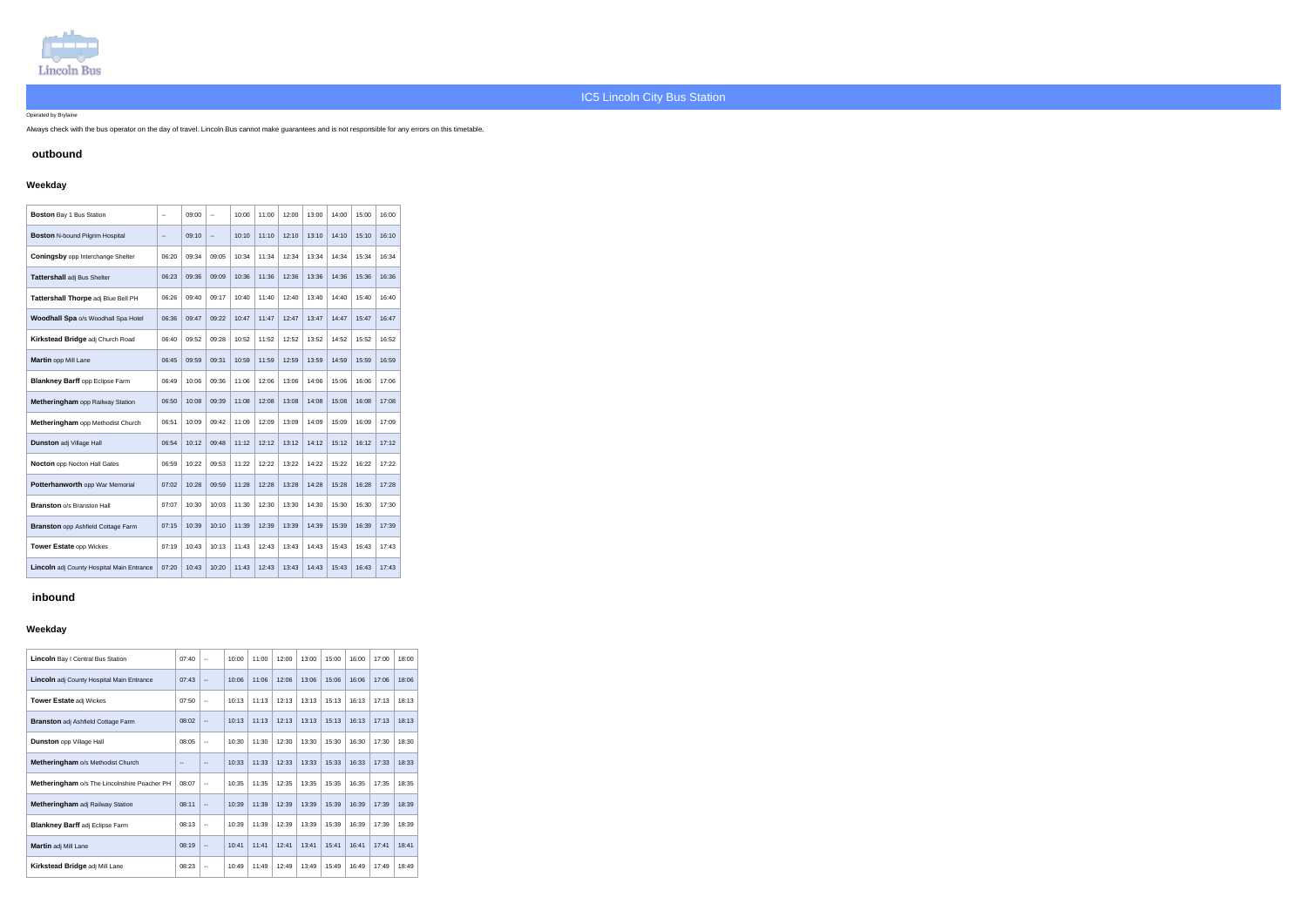

#### Operated by Brylaine

Always check with the bus operator on the day of travel. Lincoln Bus cannot make guarantees and is not responsible for any errors on this timetable.

# **outbound**

# **Weekday**

| <b>Boston Bay 1 Bus Station</b>           | $\overline{\phantom{a}}$ | 09:00 | --    | 10:00 | 11:00 | 12:00 | 13:00 | 14:00 | 15:00 | 16:00 |
|-------------------------------------------|--------------------------|-------|-------|-------|-------|-------|-------|-------|-------|-------|
| <b>Boston N-bound Pilgrim Hospital</b>    | $\overline{\phantom{a}}$ | 09:10 | Ш,    | 10:10 | 11:10 | 12:10 | 13:10 | 14:10 | 15:10 | 16:10 |
| <b>Coningsby opp Interchange Shelter</b>  | 06:20                    | 09:34 | 09:05 | 10:34 | 11:34 | 12:34 | 13:34 | 14:34 | 15:34 | 16:34 |
| Tattershall adj Bus Shelter               | 06:23                    | 09:36 | 09:09 | 10:36 | 11:36 | 12:36 | 13:36 | 14:36 | 15:36 | 16:36 |
| Tattershall Thorpe adj Blue Bell PH       | 06:26                    | 09:40 | 09:17 | 10:40 | 11:40 | 12:40 | 13:40 | 14:40 | 15:40 | 16:40 |
| Woodhall Spa o/s Woodhall Spa Hotel       | 06:36                    | 09:47 | 09:22 | 10:47 | 11:47 | 12:47 | 13:47 | 14:47 | 15:47 | 16:47 |
| Kirkstead Bridge adj Church Road          | 06:40                    | 09:52 | 09:28 | 10:52 | 11:52 | 12:52 | 13:52 | 14:52 | 15:52 | 16:52 |
| Martin opp Mill Lane                      | 06:45                    | 09:59 | 09:31 | 10:59 | 11:59 | 12:59 | 13:59 | 14:59 | 15:59 | 16:59 |
| <b>Blankney Barff opp Eclipse Farm</b>    | 06:49                    | 10:06 | 09:36 | 11:06 | 12:06 | 13:06 | 14:06 | 15:06 | 16:06 | 17:06 |
| <b>Metheringham</b> opp Railway Station   | 06:50                    | 10:08 | 09:39 | 11:08 | 12:08 | 13:08 | 14:08 | 15:08 | 16:08 | 17:08 |
| Metheringham opp Methodist Church         | 06:51                    | 10:09 | 09:42 | 11:09 | 12:09 | 13:09 | 14:09 | 15:09 | 16:09 | 17:09 |
| <b>Dunston adj Village Hall</b>           | 06:54                    | 10:12 | 09:48 | 11:12 | 12:12 | 13:12 | 14:12 | 15:12 | 16:12 | 17:12 |
| <b>Nocton</b> opp Nocton Hall Gates       | 06:59                    | 10:22 | 09:53 | 11:22 | 12:22 | 13:22 | 14:22 | 15:22 | 16:22 | 17:22 |
| Potterhanworth opp War Memorial           | 07:02                    | 10:28 | 09:59 | 11:28 | 12:28 | 13:28 | 14:28 | 15:28 | 16:28 | 17:28 |
| <b>Branston o/s Branston Hall</b>         | 07:07                    | 10:30 | 10:03 | 11:30 | 12:30 | 13:30 | 14:30 | 15:30 | 16:30 | 17:30 |
| <b>Branston</b> opp Ashfield Cottage Farm | 07:15                    | 10:39 | 10:10 | 11:39 | 12:39 | 13:39 | 14:39 | 15:39 | 16:39 | 17:39 |
| <b>Tower Estate opp Wickes</b>            | 07:19                    | 10:43 | 10:13 | 11:43 | 12:43 | 13:43 | 14:43 | 15:43 | 16:43 | 17:43 |
| Lincoln adj County Hospital Main Entrance | 07:20                    | 10:43 | 10:20 | 11:43 | 12:43 | 13:43 | 14:43 | 15:43 | 16:43 | 17:43 |

# **inbound**

# **Weekday**

| <b>Lincoln</b> Bay I Central Bus Station         | 07:40 | $\overline{\phantom{a}}$ | 10:00 | 11:00 | 12:00 | 13:00 | 15:00 | 16:00 | 17:00 | 18:00 |
|--------------------------------------------------|-------|--------------------------|-------|-------|-------|-------|-------|-------|-------|-------|
| <b>Lincoln</b> adj County Hospital Main Entrance | 07:43 | $\overline{\phantom{a}}$ | 10:06 | 11:06 | 12:06 | 13:06 | 15:06 | 16:06 | 17:06 | 18:06 |
| <b>Tower Estate adj Wickes</b>                   | 07:50 | $\overline{\phantom{a}}$ | 10:13 | 11:13 | 12:13 | 13:13 | 15:13 | 16:13 | 17:13 | 18:13 |
| <b>Branston</b> adj Ashfield Cottage Farm        | 08:02 | $\overline{\phantom{a}}$ | 10:13 | 11:13 | 12:13 | 13:13 | 15:13 | 16:13 | 17:13 | 18:13 |
| <b>Dunston</b> opp Village Hall                  | 08:05 | $\overline{\phantom{a}}$ | 10:30 | 11:30 | 12:30 | 13:30 | 15:30 | 16:30 | 17:30 | 18:30 |
| <b>Metheringham o/s Methodist Church</b>         | $-$   | $- -$                    | 10:33 | 11:33 | 12:33 | 13:33 | 15:33 | 16:33 | 17:33 | 18:33 |
| Metheringham o/s The Lincolnshire Poacher PH     | 08:07 | $\overline{\phantom{a}}$ | 10:35 | 11:35 | 12:35 | 13:35 | 15:35 | 16:35 | 17:35 | 18:35 |
| Metheringham adj Railway Station                 | 08:11 | $\overline{\phantom{a}}$ | 10:39 | 11:39 | 12:39 | 13:39 | 15:39 | 16:39 | 17:39 | 18:39 |
| <b>Blankney Barff adj Eclipse Farm</b>           | 08:13 | $\overline{\phantom{a}}$ | 10:39 | 11:39 | 12:39 | 13:39 | 15:39 | 16:39 | 17:39 | 18:39 |
| Martin adj Mill Lane                             | 08:19 | $\overline{\phantom{a}}$ | 10:41 | 11:41 | 12:41 | 13:41 | 15:41 | 16:41 | 17:41 | 18:41 |
| <b>Kirkstead Bridge adj Mill Lane</b>            | 08:23 | $\overline{\phantom{a}}$ | 10:49 | 11:49 | 12:49 | 13:49 | 15:49 | 16:49 | 17:49 | 18:49 |